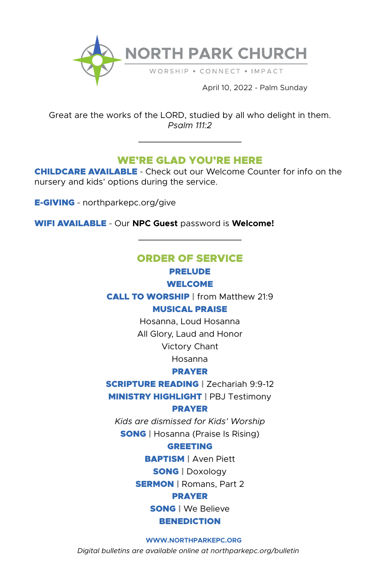

Great are the works of the LORD, studied by all who delight in them. *Psalm 111:2*

# WE'RE GLAD YOU'RE HERE

CHILDCARE AVAILABLE **-** Check out our Welcome Counter for info on the nursery and kids' options during the service.

E-GIVING **-** northparkepc.org/give

WIFI AVAILABLE **-** Our **NPC Guest** password is **Welcome!**

# ORDER OF SERVICE PRELUDE

## WELCOME

CALL TO WORSHIP | from Matthew 21:9 MUSICAL PRAISE

Hosanna, Loud Hosanna

All Glory, Laud and Honor

Victory Chant

Hosanna

## PRAYER

**SCRIPTURE READING | Zechariah 9:9-12** 

MINISTRY HIGHLIGHT | PBJ Testimony

#### PRAYER

*Kids are dismissed for Kids' Worship* SONG | Hosanna (Praise Is Rising)

## GREETING

BAPTISM | Aven Piett

SONG | Doxology

**SERMON** | Romans, Part 2

## PRAYER

SONG | We Believe

## **BENEDICTION**

#### **WWW.NORTHPARKEPC.ORG**

*Digital bulletins are available online at northparkepc.org/bulletin*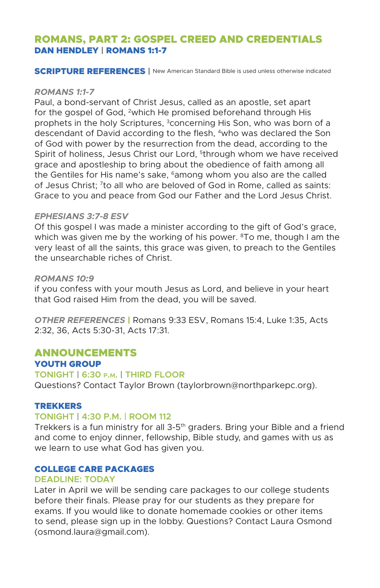## ROMANS, PART 2: GOSPEL CREED AND CREDENTIALS DAN HENDLEY | ROMANS 1:1-7

**SCRIPTURE REFERENCES** | New American Standard Bible is used unless otherwise indicated

#### *ROMANS 1:1-7*

Paul, a bond-servant of Christ Jesus, called as an apostle, set apart for the gospel of God, <sup>2</sup>which He promised beforehand through His prophets in the holy Scriptures, <sup>3</sup>concerning His Son, who was born of a descendant of David according to the flesh, 4who was declared the Son of God with power by the resurrection from the dead, according to the Spirit of holiness, Jesus Christ our Lord, 5through whom we have received grace and apostleship to bring about the obedience of faith among all the Gentiles for His name's sake, <sup>6</sup>among whom you also are the called of Jesus Christ; 7to all who are beloved of God in Rome, called as saints: Grace to you and peace from God our Father and the Lord Jesus Christ.

#### *EPHESIANS 3:7-8 ESV*

Of this gospel I was made a minister according to the gift of God's grace, which was given me by the working of his power.  $8$ To me, though I am the very least of all the saints, this grace was given, to preach to the Gentiles the unsearchable riches of Christ.

#### *ROMANS 10:9*

if you confess with your mouth Jesus as Lord, and believe in your heart that God raised Him from the dead, you will be saved.

*OTHER REFERENCES* | Romans 9:33 ESV, Romans 15:4, Luke 1:35, Acts 2:32, 36, Acts 5:30-31, Acts 17:31.

### ANNOUNCEMENTS YOUTH GROUP

## **TONIGHT | 6:30 p.m. | THIRD FLOOR**

Questions? Contact Taylor Brown (taylorbrown@northparkepc.org).

#### TREKKERS

## **TONIGHT | 4:30 P.M. | ROOM 112**

Trekkers is a fun ministry for all  $3-5<sup>th</sup>$  graders. Bring your Bible and a friend and come to enjoy dinner, fellowship, Bible study, and games with us as we learn to use what God has given you.

#### COLLEGE CARE PACKAGES

#### **DEADLINE: TODAY**

Later in April we will be sending care packages to our college students before their finals. Please pray for our students as they prepare for exams. If you would like to donate homemade cookies or other items to send, please sign up in the lobby. Questions? Contact Laura Osmond (osmond.laura@gmail.com).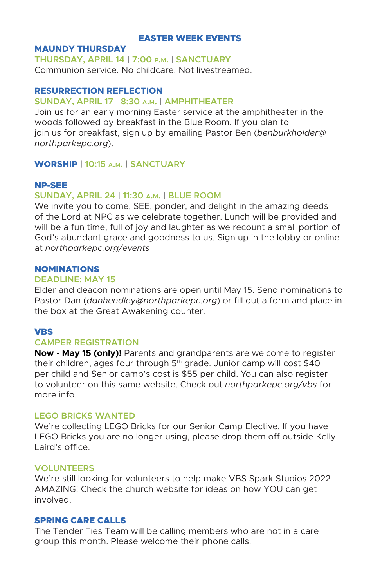### EASTER WEEK EVENTS

### **MAUNDY THURSDAY**

**THURSDAY, APRIL 14 | 7:00 p.m. | SANCTUARY** Communion service. No childcare. Not livestreamed.

## **RESURRECTION REFLECTION**

### **SUNDAY, APRIL 17 | 8:30 a.m. | AMPHITHEATER**

Join us for an early morning Easter service at the amphitheater in the woods followed by breakfast in the Blue Room. If you plan to join us for breakfast, sign up by emailing Pastor Ben (*benburkholder@ northparkepc.org*).

## **WORSHIP | 10:15 a.m. | SANCTUARY**

#### NP-SEE

#### **SUNDAY, APRIL 24 | 11:30 a.m. | BLUE ROOM**

We invite you to come, SEE, ponder, and delight in the amazing deeds of the Lord at NPC as we celebrate together. Lunch will be provided and will be a fun time, full of joy and laughter as we recount a small portion of God's abundant grace and goodness to us. Sign up in the lobby or online at *northparkepc.org/events*

#### NOMINATIONS

#### **DEADLINE: MAY 15**

Elder and deacon nominations are open until May 15. Send nominations to Pastor Dan (*danhendley@northparkepc.org*) or fill out a form and place in the box at the Great Awakening counter.

## VBS

#### **CAMPER REGISTRATION**

**Now - May 15 (only)!** Parents and grandparents are welcome to register their children, ages four through  $5<sup>th</sup>$  grade. Junior camp will cost \$40 per child and Senior camp's cost is \$55 per child. You can also register to volunteer on this same website. Check out *northparkepc.org/vbs* for more info.

### **LEGO BRICKS WANTED**

We're collecting LEGO Bricks for our Senior Camp Elective. If you have LEGO Bricks you are no longer using, please drop them off outside Kelly Laird's office.

#### **VOLUNTEERS**

We're still looking for volunteers to help make VBS Spark Studios 2022 AMAZING! Check the church website for ideas on how YOU can get involved.

#### SPRING CARE CALLS

The Tender Ties Team will be calling members who are not in a care group this month. Please welcome their phone calls.